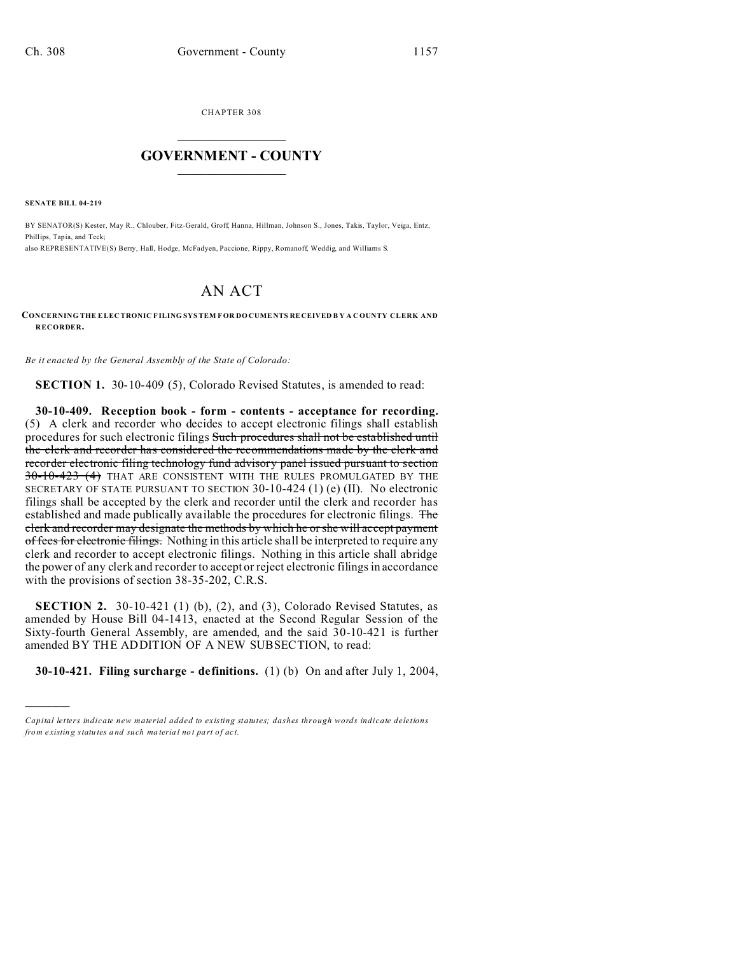CHAPTER 308  $\overline{\phantom{a}}$  , where  $\overline{\phantom{a}}$ 

## **GOVERNMENT - COUNTY**  $\_$

**SENATE BILL 04-219**

)))))

BY SENATOR(S) Kester, May R., Chlouber, Fitz-Gerald, Groff, Hanna, Hillman, Johnson S., Jones, Takis, Taylor, Veiga, Entz, Phillips, Tapia, and Teck; also REPRESENTATIVE(S) Berry, Hall, Hodge, McFadyen, Paccione, Rippy, Romanoff, Weddig, and Williams S.

## AN ACT

**CONCERNING THE ELECTRONIC FILING SYSTEM F OR DO CUME NTS RE CEIVED B Y A COUNTY CLERK AND RECORDER.**

*Be it enacted by the General Assembly of the State of Colorado:*

**SECTION 1.** 30-10-409 (5), Colorado Revised Statutes, is amended to read:

**30-10-409. Reception book - form - contents - acceptance for recording.** (5) A clerk and recorder who decides to accept electronic filings shall establish procedures for such electronic filings Such procedures shall not be established until the clerk and recorder has considered the recommendations made by the clerk and recorder electronic filing technology fund advisory panel issued pursuant to section 30-10-423 (4) THAT ARE CONSISTENT WITH THE RULES PROMULGATED BY THE SECRETARY OF STATE PURSUANT TO SECTION 30-10-424 (1) (e) (II). No electronic filings shall be accepted by the clerk and recorder until the clerk and recorder has established and made publically available the procedures for electronic filings. The clerk and recorder may designate the methods by which he or she will accept payment of fees for electronic filings. Nothing in this article shall be interpreted to require any clerk and recorder to accept electronic filings. Nothing in this article shall abridge the power of any clerk and recorder to accept or reject electronic filings in accordance with the provisions of section 38-35-202, C.R.S.

**SECTION 2.** 30-10-421 (1) (b), (2), and (3), Colorado Revised Statutes, as amended by House Bill 04-1413, enacted at the Second Regular Session of the Sixty-fourth General Assembly, are amended, and the said 30-10-421 is further amended BY THE ADDITION OF A NEW SUBSECTION, to read:

**30-10-421. Filing surcharge - definitions.** (1) (b) On and after July 1, 2004,

*Capital letters indicate new material added to existing statutes; dashes through words indicate deletions from e xistin g statu tes a nd such ma teria l no t pa rt of ac t.*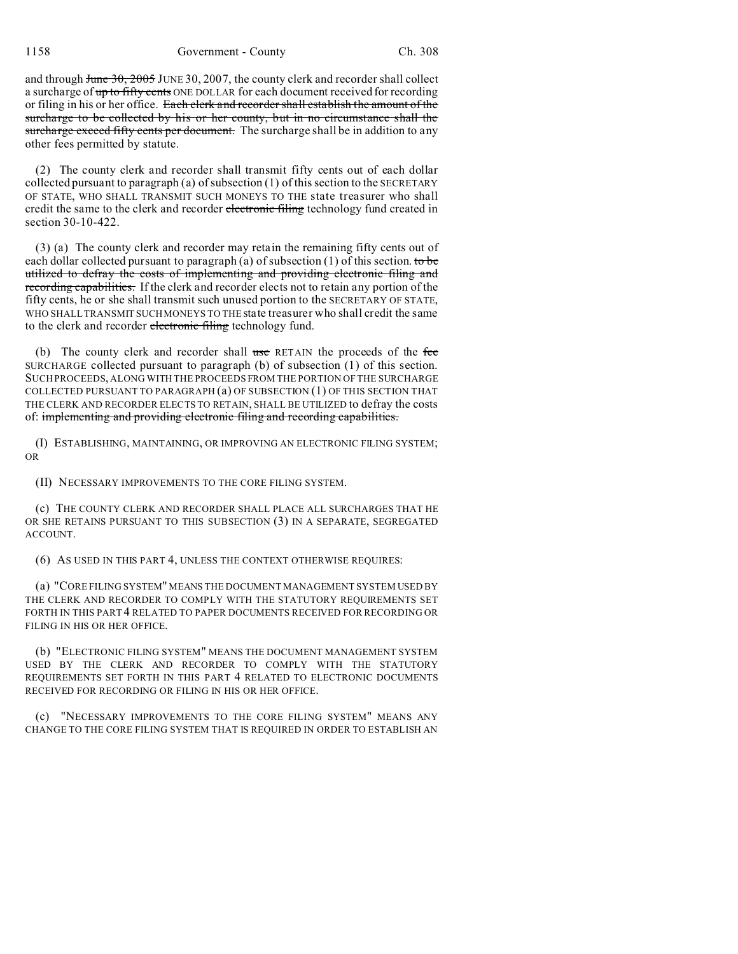1158 Government - County Ch. 308

and through June 30, 2005 JUNE 30, 2007, the county clerk and recorder shall collect a surcharge of up to fifty cents ONE DOLLAR for each document received for recording or filing in his or her office. Each clerk and recorder shall establish the amount of the surcharge to be collected by his or her county, but in no circumstance shall the surcharge exceed fifty cents per document. The surcharge shall be in addition to any other fees permitted by statute.

(2) The county clerk and recorder shall transmit fifty cents out of each dollar collected pursuant to paragraph (a) of subsection (1) of this section to the SECRETARY OF STATE, WHO SHALL TRANSMIT SUCH MONEYS TO THE state treasurer who shall credit the same to the clerk and recorder electronic filing technology fund created in section 30-10-422.

(3) (a) The county clerk and recorder may retain the remaining fifty cents out of each dollar collected pursuant to paragraph (a) of subsection (1) of this section. to be utilized to defray the costs of implementing and providing electronic filing and recording capabilities. If the clerk and recorder elects not to retain any portion of the fifty cents, he or she shall transmit such unused portion to the SECRETARY OF STATE, WHO SHALL TRANSMIT SUCH MONEYS TO THE state treasurer who shall credit the same to the clerk and recorder electronic filing technology fund.

(b) The county clerk and recorder shall use RETAIN the proceeds of the fee SURCHARGE collected pursuant to paragraph (b) of subsection (1) of this section. SUCH PROCEEDS, ALONG WITH THE PROCEEDS FROM THE PORTION OF THE SURCHARGE COLLECTED PURSUANT TO PARAGRAPH (a) OF SUBSECTION (1) OF THIS SECTION THAT THE CLERK AND RECORDER ELECTS TO RETAIN, SHALL BE UTILIZED to defray the costs of: implementing and providing electronic filing and recording capabilities.

(I) ESTABLISHING, MAINTAINING, OR IMPROVING AN ELECTRONIC FILING SYSTEM; OR

(II) NECESSARY IMPROVEMENTS TO THE CORE FILING SYSTEM.

(c) THE COUNTY CLERK AND RECORDER SHALL PLACE ALL SURCHARGES THAT HE OR SHE RETAINS PURSUANT TO THIS SUBSECTION (3) IN A SEPARATE, SEGREGATED ACCOUNT.

(6) AS USED IN THIS PART 4, UNLESS THE CONTEXT OTHERWISE REQUIRES:

(a) "CORE FILING SYSTEM" MEANS THE DOCUMENT MANAGEMENT SYSTEM USED BY THE CLERK AND RECORDER TO COMPLY WITH THE STATUTORY REQUIREMENTS SET FORTH IN THIS PART 4 RELATED TO PAPER DOCUMENTS RECEIVED FOR RECORDING OR FILING IN HIS OR HER OFFICE.

(b) "ELECTRONIC FILING SYSTEM" MEANS THE DOCUMENT MANAGEMENT SYSTEM USED BY THE CLERK AND RECORDER TO COMPLY WITH THE STATUTORY REQUIREMENTS SET FORTH IN THIS PART 4 RELATED TO ELECTRONIC DOCUMENTS RECEIVED FOR RECORDING OR FILING IN HIS OR HER OFFICE.

(c) "NECESSARY IMPROVEMENTS TO THE CORE FILING SYSTEM" MEANS ANY CHANGE TO THE CORE FILING SYSTEM THAT IS REQUIRED IN ORDER TO ESTABLISH AN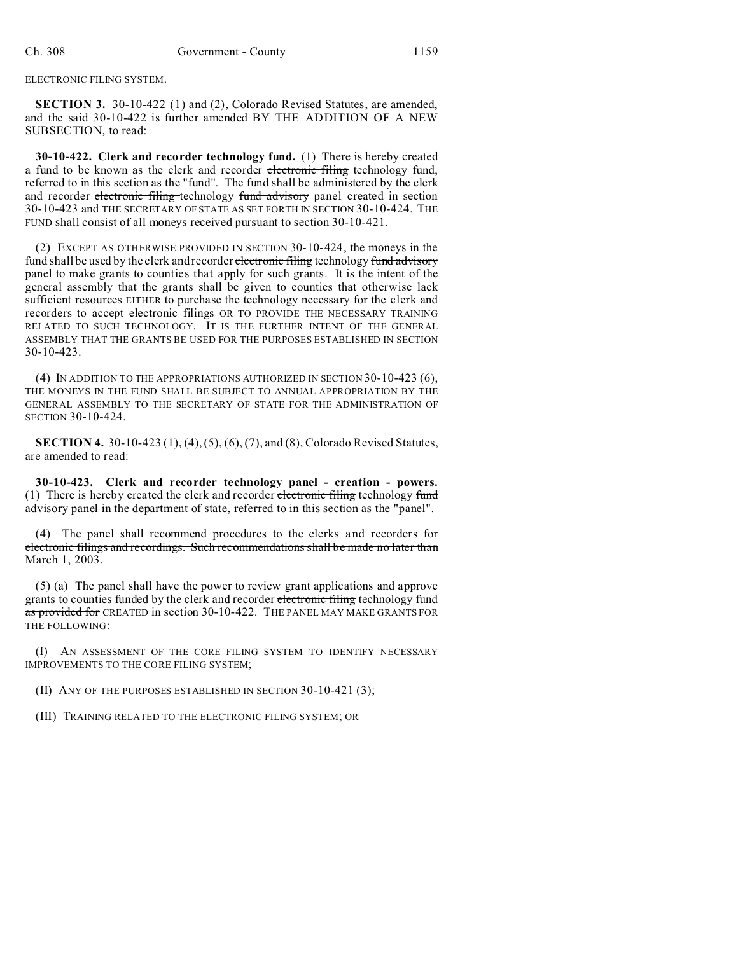ELECTRONIC FILING SYSTEM.

**SECTION 3.** 30-10-422 (1) and (2), Colorado Revised Statutes, are amended, and the said 30-10-422 is further amended BY THE ADDITION OF A NEW SUBSECTION, to read:

**30-10-422. Clerk and recorder technology fund.** (1) There is hereby created a fund to be known as the clerk and recorder electronic filing technology fund, referred to in this section as the "fund". The fund shall be administered by the clerk and recorder electronic filing technology fund advisory panel created in section 30-10-423 and THE SECRETARY OF STATE AS SET FORTH IN SECTION 30-10-424. THE FUND shall consist of all moneys received pursuant to section 30-10-421.

(2) EXCEPT AS OTHERWISE PROVIDED IN SECTION 30-10-424, the moneys in the fund shall be used by the clerk and recorder electronic filing technology fund advisory panel to make grants to counties that apply for such grants. It is the intent of the general assembly that the grants shall be given to counties that otherwise lack sufficient resources EITHER to purchase the technology necessary for the clerk and recorders to accept electronic filings OR TO PROVIDE THE NECESSARY TRAINING RELATED TO SUCH TECHNOLOGY. IT IS THE FURTHER INTENT OF THE GENERAL ASSEMBLY THAT THE GRANTS BE USED FOR THE PURPOSES ESTABLISHED IN SECTION 30-10-423.

(4) IN ADDITION TO THE APPROPRIATIONS AUTHORIZED IN SECTION 30-10-423 (6), THE MONEYS IN THE FUND SHALL BE SUBJECT TO ANNUAL APPROPRIATION BY THE GENERAL ASSEMBLY TO THE SECRETARY OF STATE FOR THE ADMINISTRATION OF SECTION 30-10-424.

**SECTION 4.** 30-10-423 (1), (4), (5), (6), (7), and (8), Colorado Revised Statutes, are amended to read:

**30-10-423. Clerk and recorder technology panel - creation - powers.** (1) There is hereby created the clerk and recorder electronic filing technology fund advisory panel in the department of state, referred to in this section as the "panel".

(4) The panel shall recommend procedures to the clerks and recorders for electronic filings and recordings. Such recommendations shall be made no later than March 1, 2003.

(5) (a) The panel shall have the power to review grant applications and approve grants to counties funded by the clerk and recorder electronic filing technology fund as provided for CREATED in section 30-10-422. THE PANEL MAY MAKE GRANTS FOR THE FOLLOWING:

(I) AN ASSESSMENT OF THE CORE FILING SYSTEM TO IDENTIFY NECESSARY IMPROVEMENTS TO THE CORE FILING SYSTEM;

(II) ANY OF THE PURPOSES ESTABLISHED IN SECTION 30-10-421 (3);

(III) TRAINING RELATED TO THE ELECTRONIC FILING SYSTEM; OR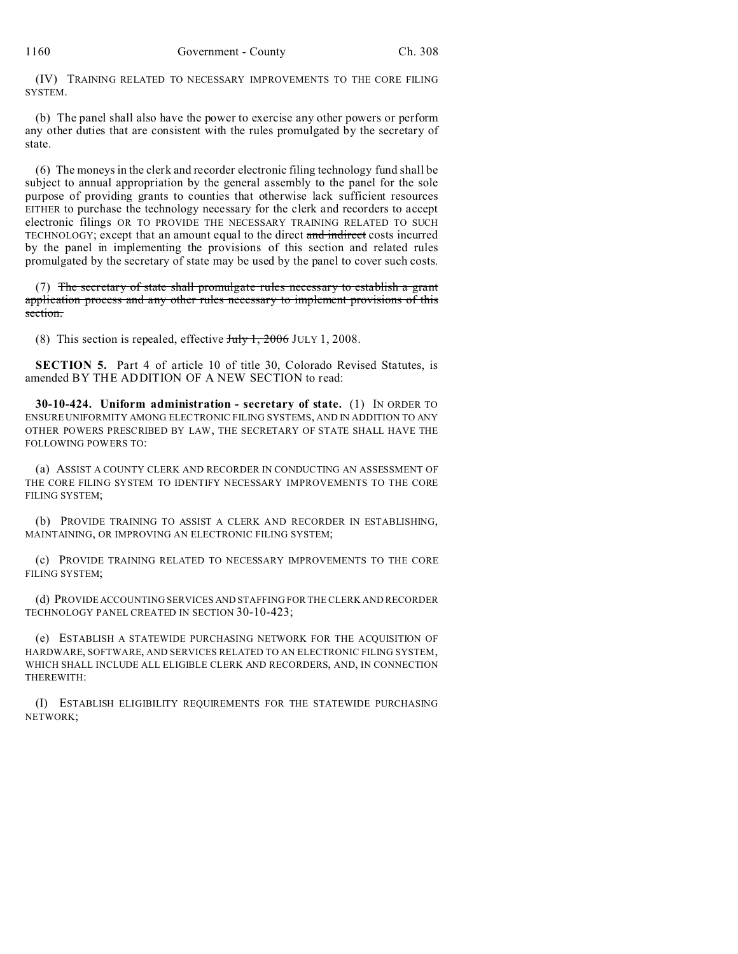(IV) TRAINING RELATED TO NECESSARY IMPROVEMENTS TO THE CORE FILING SYSTEM.

(b) The panel shall also have the power to exercise any other powers or perform any other duties that are consistent with the rules promulgated by the secretary of state.

(6) The moneys in the clerk and recorder electronic filing technology fund shall be subject to annual appropriation by the general assembly to the panel for the sole purpose of providing grants to counties that otherwise lack sufficient resources EITHER to purchase the technology necessary for the clerk and recorders to accept electronic filings OR TO PROVIDE THE NECESSARY TRAINING RELATED TO SUCH TECHNOLOGY; except that an amount equal to the direct and indirect costs incurred by the panel in implementing the provisions of this section and related rules promulgated by the secretary of state may be used by the panel to cover such costs.

(7) The secretary of state shall promulgate rules necessary to establish a grant application process and any other rules necessary to implement provisions of this section.

(8) This section is repealed, effective  $J_{\text{uly}}$  1, 2006 JULY 1, 2008.

**SECTION 5.** Part 4 of article 10 of title 30, Colorado Revised Statutes, is amended BY THE ADDITION OF A NEW SECTION to read:

**30-10-424. Uniform administration - secretary of state.** (1) IN ORDER TO ENSURE UNIFORMITY AMONG ELECTRONIC FILING SYSTEMS, AND IN ADDITION TO ANY OTHER POWERS PRESCRIBED BY LAW, THE SECRETARY OF STATE SHALL HAVE THE FOLLOWING POWERS TO:

(a) ASSIST A COUNTY CLERK AND RECORDER IN CONDUCTING AN ASSESSMENT OF THE CORE FILING SYSTEM TO IDENTIFY NECESSARY IMPROVEMENTS TO THE CORE FILING SYSTEM;

(b) PROVIDE TRAINING TO ASSIST A CLERK AND RECORDER IN ESTABLISHING, MAINTAINING, OR IMPROVING AN ELECTRONIC FILING SYSTEM;

(c) PROVIDE TRAINING RELATED TO NECESSARY IMPROVEMENTS TO THE CORE FILING SYSTEM;

(d) PROVIDE ACCOUNTING SERVICES AND STAFFING FOR THE CLERK AND RECORDER TECHNOLOGY PANEL CREATED IN SECTION 30-10-423;

(e) ESTABLISH A STATEWIDE PURCHASING NETWORK FOR THE ACQUISITION OF HARDWARE, SOFTWARE, AND SERVICES RELATED TO AN ELECTRONIC FILING SYSTEM, WHICH SHALL INCLUDE ALL ELIGIBLE CLERK AND RECORDERS, AND, IN CONNECTION THEREWITH:

(I) ESTABLISH ELIGIBILITY REQUIREMENTS FOR THE STATEWIDE PURCHASING NETWORK;